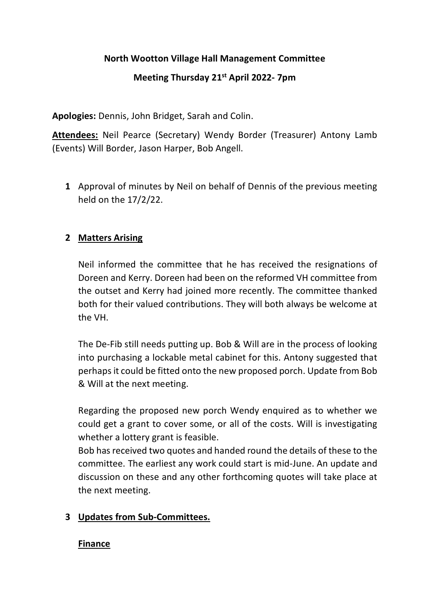#### **North Wootton Village Hall Management Committee**

# **Meeting Thursday 21st April 2022- 7pm**

**Apologies:** Dennis, John Bridget, Sarah and Colin.

**Attendees:** Neil Pearce (Secretary) Wendy Border (Treasurer) Antony Lamb (Events) Will Border, Jason Harper, Bob Angell.

**1** Approval of minutes by Neil on behalf of Dennis of the previous meeting held on the 17/2/22.

#### **2 Matters Arising**

Neil informed the committee that he has received the resignations of Doreen and Kerry. Doreen had been on the reformed VH committee from the outset and Kerry had joined more recently. The committee thanked both for their valued contributions. They will both always be welcome at the VH.

The De-Fib still needs putting up. Bob & Will are in the process of looking into purchasing a lockable metal cabinet for this. Antony suggested that perhaps it could be fitted onto the new proposed porch. Update from Bob & Will at the next meeting.

Regarding the proposed new porch Wendy enquired as to whether we could get a grant to cover some, or all of the costs. Will is investigating whether a lottery grant is feasible.

Bob has received two quotes and handed round the details of these to the committee. The earliest any work could start is mid-June. An update and discussion on these and any other forthcoming quotes will take place at the next meeting.

# **3 Updates from Sub-Committees.**

#### **Finance**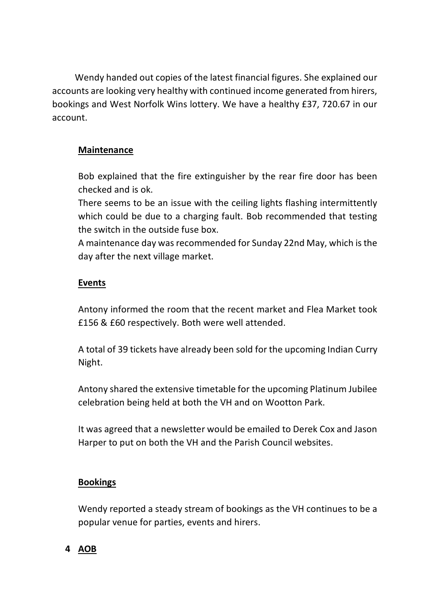Wendy handed out copies of the latest financial figures. She explained our accounts are looking very healthy with continued income generated from hirers, bookings and West Norfolk Wins lottery. We have a healthy £37, 720.67 in our account.

# **Maintenance**

Bob explained that the fire extinguisher by the rear fire door has been checked and is ok.

There seems to be an issue with the ceiling lights flashing intermittently which could be due to a charging fault. Bob recommended that testing the switch in the outside fuse box.

A maintenance day was recommended for Sunday 22nd May, which is the day after the next village market.

# **Events**

Antony informed the room that the recent market and Flea Market took £156 & £60 respectively. Both were well attended.

A total of 39 tickets have already been sold for the upcoming Indian Curry Night.

Antony shared the extensive timetable for the upcoming Platinum Jubilee celebration being held at both the VH and on Wootton Park.

It was agreed that a newsletter would be emailed to Derek Cox and Jason Harper to put on both the VH and the Parish Council websites.

# **Bookings**

Wendy reported a steady stream of bookings as the VH continues to be a popular venue for parties, events and hirers.

# **4 AOB**